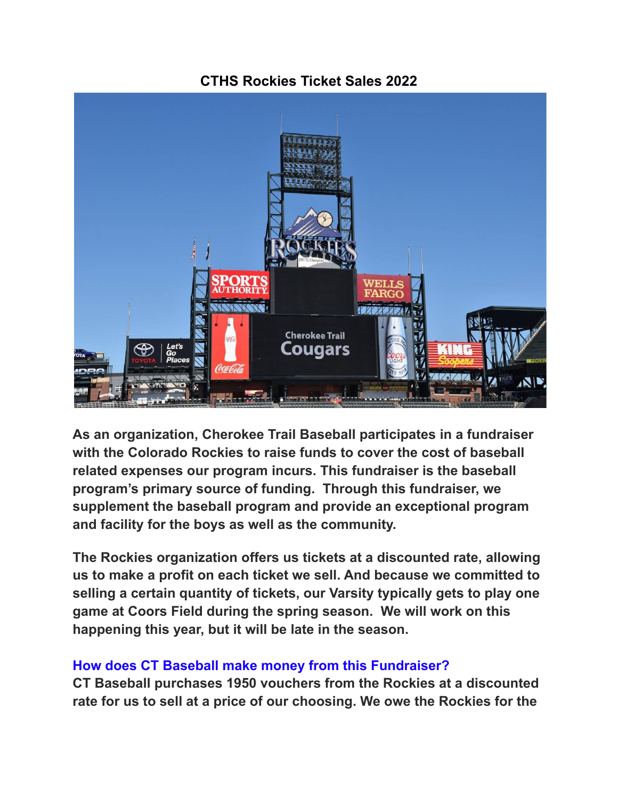# **CTHS Rockies Ticket Sales 2022**



**As an organization, Cherokee Trail Baseball participates in a fundraiser with the Colorado Rockies to raise funds to cover the cost of baseball related expenses our program incurs. This fundraiser is the baseball program's primary source of funding. Through this fundraiser, we supplement the baseball program and provide an exceptional program and facility for the boys as well as the community.**

**The Rockies organization offers us tickets at a discounted rate, allowing us to make a profit on each ticket we sell. And because we committed to selling a certain quantity of tickets, our Varsity typically gets to play one game at Coors Field during the spring season. We will work on this happening this year, but it will be late in the season.**

#### **How does CT Baseball make money from this Fundraiser?**

**CT Baseball purchases 1950 vouchers from the Rockies at a discounted rate for us to sell at a price of our choosing. We owe the Rockies for the**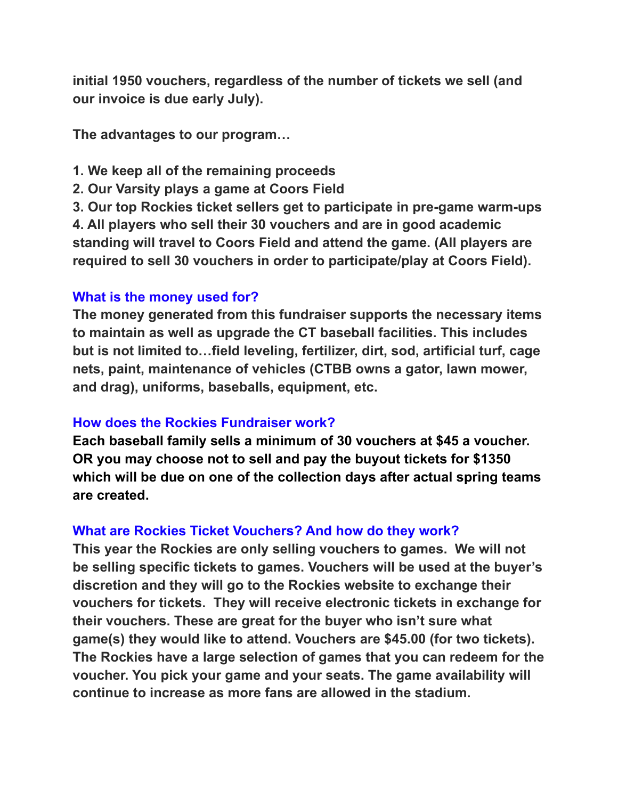**initial 1950 vouchers, regardless of the number of tickets we sell (and our invoice is due early July).**

**The advantages to our program…**

- **1. We keep all of the remaining proceeds**
- **2. Our Varsity plays a game at Coors Field**

**3. Our top Rockies ticket sellers get to participate in pre-game warm-ups 4. All players who sell their 30 vouchers and are in good academic standing will travel to Coors Field and attend the game. (All players are required to sell 30 vouchers in order to participate/play at Coors Field).**

# **What is the money used for?**

**The money generated from this fundraiser supports the necessary items to maintain as well as upgrade the CT baseball facilities. This includes but is not limited to…field leveling, fertilizer, dirt, sod, artificial turf, cage nets, paint, maintenance of vehicles (CTBB owns a gator, lawn mower, and drag), uniforms, baseballs, equipment, etc.**

# **How does the Rockies Fundraiser work?**

**Each baseball family sells a minimum of 30 vouchers at \$45 a voucher. OR you may choose not to sell and pay the buyout tickets for \$1350 which will be due on one of the collection days after actual spring teams are created.**

# **What are Rockies Ticket Vouchers? And how do they work?**

**This year the Rockies are only selling vouchers to games. We will not be selling specific tickets to games. Vouchers will be used at the buyer's discretion and they will go to the Rockies website to exchange their vouchers for tickets. They will receive electronic tickets in exchange for their vouchers. These are great for the buyer who isn't sure what game(s) they would like to attend. Vouchers are \$45.00 (for two tickets). The Rockies have a large selection of games that you can redeem for the voucher. You pick your game and your seats. The game availability will continue to increase as more fans are allowed in the stadium.**